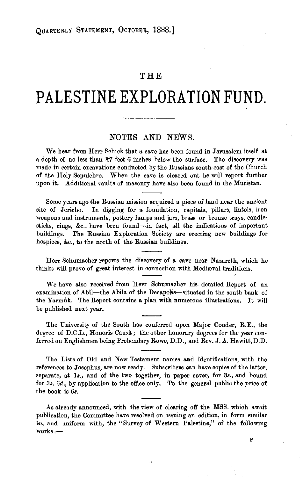## **THE**

## **PALESTINE EXPLORATION FUND.**

## NOTES AND NEWS.

We hear from Herr Schick that a cave has been found in Jerusalem itself at a depth of no less than  $\frac{1}{47}$  feet 6 inches below the surface. The discovery was made in certain excavations conducted by the Russians south-east of the Church of the Holy Sepulchre. When the cave is cleared out he will report further upon it. Additional vaults of masonry have also been found in the Muristan.

Some years ago the Russian mission acquired a piece of land near the ancient site of Jericho. In digging for a foundation, capitals, pillars, lintels, iron weapons and instruments, pottery lamps and jars, brass or bronze trays, candlesticks, rings, &c., have been found-in fact, all the indications of important buildings. The Russian Exploration Society are erecting new buildings for hospices, &c., to the north of the Russian buildings.

Herr Schumacher reports the discovery of a cave near Nazareth, which he thinks will prove of great interest in connection with Mediaval traditions.

We have also received from Herr Schumacher his detailed Report of an examination of Abîl—the Abila of the Decapolis—situated in the south bank of the Yarmûk. The Report contains a plan with numerous illustrations. It will be published next year.

The University of the South has conferred upon Major Conder, R.E., the degree of D.C.L., Honoris Causa; the other honorary degrees for the year conferred on Englishmen being Prebendary Rowe, D.D., and Rev. J. A. Hewitt, D.D.

The Lists of Old and New Testament names and identifications, with the references to Josephus, are now ready. Subscribers can have copies of the latter, separate, at 1s., and of the two together, in paper cover, for 3s., and bound for 3s. 6d., by application to the office only. To the general public the price of the book is *6s.* 

As already announced, with the view of clearing off the MSS. which await publication, the Committee have resolved on issuing an edition, in form similar to, and uniform with, the "Survey of Western Palestine," of the following  $works:$ 

p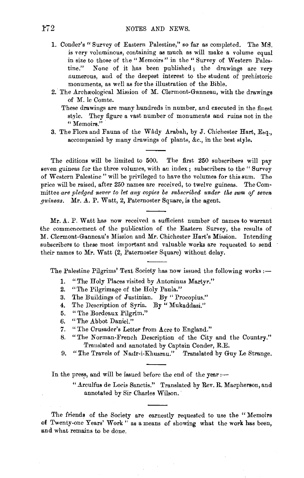- 1. Conder's "Survey of Eastern Palestine," so far as completed. The MS. is very voluminous, containing as much as will make a volume equal in size to those of the "Memoirs" in the "Survey of Western Palestine." None of it has been published; the drawings are very numerous, and of the deepest interest to the student of prehistoric monuments, as well as for the illustration of the Bible.
- 2. The Archreological Mission of M. Clermont-Ganneau, with the drawings of M. le Comte.
	- These drawings are many hundreds in number, and executed in the finest style. They figure a vast number of monuments and ruins not in the **"Memoirs."**
- 3. The Flora and Fauna of the Wâdy Arabah, by J. Chichester Hart, Esq., accompanied by many drawings of plants, &c., in the best style.

The editions will be limited to 500. The first 250 subscribers will pay seven guineas for the three volumes, with an index; subscribers to the "Survey of Western Palestine " will be privileged to have the volumes for this sum. The price will be raised, after 250 names are received, to twelve guineas. The Com· mittee *are pledged never* to *let any copies be subscribed under the sum of seven guineas.* Mr. A. P. Watt, *2,* Paternoster Square, is the agent.

Mr. A. P. Watt has now received a sufficient number of names to warrant the commencement of the publication of the Eastern Survey, the results of M. Clermont-Ganneau's Mission and Mr. Chichester Hart's Mission. Intending subscribers to these most important and valuable works are requested to send their names to Mr. Watt (2, Paternoster Square) without delay.

The Palestine Pilgrims' Text Society has now issued the following works :-

- 1. "The Holy Places visited by Antoninus Martyr."
- 2. "The Pilgrimage of the Holy Paula."
- 3. The Buildings of Justinian. By "Procopius."
- 4. The Description of Syria. By " Mukaddasi."
- 5. "The Bordeaux Pilgrim."
- 6. "The Abbot Daniel."
- 7. "The Crusader's Letter from Acre to England."
- 8. "The Norman-French Description of the City and the Country." Translated and annotated by Captain Conder, R.E.
- 9. "The Travels of Nasir-i-Khusrau." Translated by Guy Le Strange.

In the press, and will be issued before the end of the year  $:$ 

" Arculfus de Locis Sanctis." Translated by Rev. R. Macpherson, and annotated by Sir Charles Wilson.

The friends of the Society are earnestly requested to use the " Memoirs of Twenty-one Years' Work" as a means of showing what the work has been, and what remains to be done.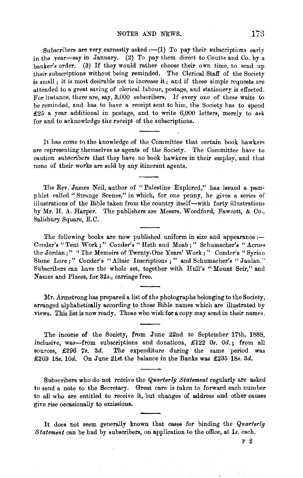Subscribers are very earnestly asked  $:-(1)$  To pay their subscriptions early in the year-say in January. (2) To pay them direct to Coutts and Co. by a banker's order. (3) If they would rather choose their own time, to send up their subscriptions without being reminded. The Clerical Staff of the Society is small; it is most desirable not to increase it; and if these simple requests are attended to a great saving of clerical labour, postage, and stationery is effected. For instance, there are, say, 3,000 subscribers. If every one of these waits to be reminded, and has to have a receipt sent to him, the Society has to spend £25 a year additional in postage, and to write 6,000 letters, merely to ask for and to acknowledge the receipt of the subscriptions.

It has come to the knowledge of the Committee that certain book hawkers are representing themselves as agents of the Society. The Committee have to caution subscribers that they have no book hawkers in their employ, and that none of their works are sold by any itinerant agents.

The Rev. James Neil, author of "Palestine Explored," has issued a pamphlet called "Strange Scenes," in which, for one penny, he gives a series of illustrations of the Bible taken from the country itself-with forty illustrations by Mr. H. A. Harper. The publishers are Messrs. Woodford, Fawcett, & Co., Salisbury Square, E.C.

The following books are now published uniform in size and appearance :-Conder's "Tent Work;" Conder's "Heth and Moab;" Schumacher's "Across the Jordan;" "The Memoirs of Twenty-One Years' Work; " Conder's "Syrian Stone Lore;" Conder's "Altaic Inscriptions;" and Schumacher's "Jaulan." Subscribers can have the whole set, together with Hull's "Mount Seir," and Names and Places, for 32s., carriage free.

Mr. Armstrong has prepared a list of the photographs belonging to the Society, arranged alphabetically according to those Bible names which are illustrated by views. This list is now ready. Those who wish for a copy may send in their names.

The income of the Society, from June 22nd to September 17th, 1888, inclusive, was-from subscriptions and donations, £122 Os. Od.; from all sources, £296 7s. 3d. The expenditure during the same period was £269 18s. 10d. On June 21st the balance in the Banks was £235 18s. 3d.

Subscribers who do not receive the *Quarterly Statement* regularly are asked to send a note to the Secretary. Great care is taken to forward each number to all who are entitled to receive it, but changes of address and other causes give rise occasionally to omissions.

It does not seem generally known that cases for binding the *Quarterly Statement* can be had by subscribers, on application to the office, at ls. each.

p 2